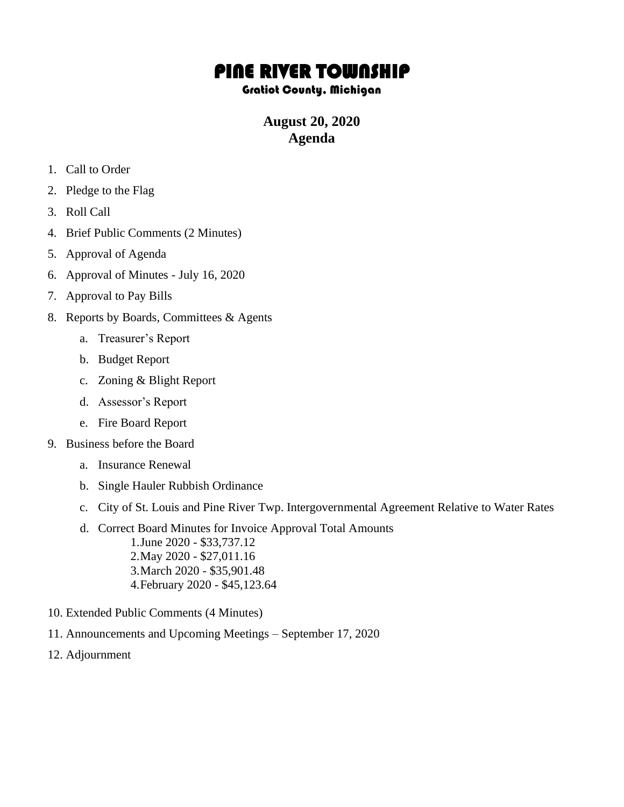## PINE RIVER TOWNSHIP

## Gratiot County, Michigan

## **August 20, 2020 Agenda**

- 1. Call to Order
- 2. Pledge to the Flag
- 3. Roll Call
- 4. Brief Public Comments (2 Minutes)
- 5. Approval of Agenda
- 6. Approval of Minutes July 16, 2020
- 7. Approval to Pay Bills
- 8. Reports by Boards, Committees & Agents
	- a. Treasurer's Report
	- b. Budget Report
	- c. Zoning & Blight Report
	- d. Assessor's Report
	- e. Fire Board Report
- 9. Business before the Board
	- a. Insurance Renewal
	- b. Single Hauler Rubbish Ordinance
	- c. City of St. Louis and Pine River Twp. Intergovernmental Agreement Relative to Water Rates
	- d. Correct Board Minutes for Invoice Approval Total Amounts 1.June 2020 - \$33,737.12 2.May 2020 - \$27,011.16 3.March 2020 - \$35,901.48 4.February 2020 - \$45,123.64
- 10. Extended Public Comments (4 Minutes)
- 11. Announcements and Upcoming Meetings September 17, 2020
- 12. Adjournment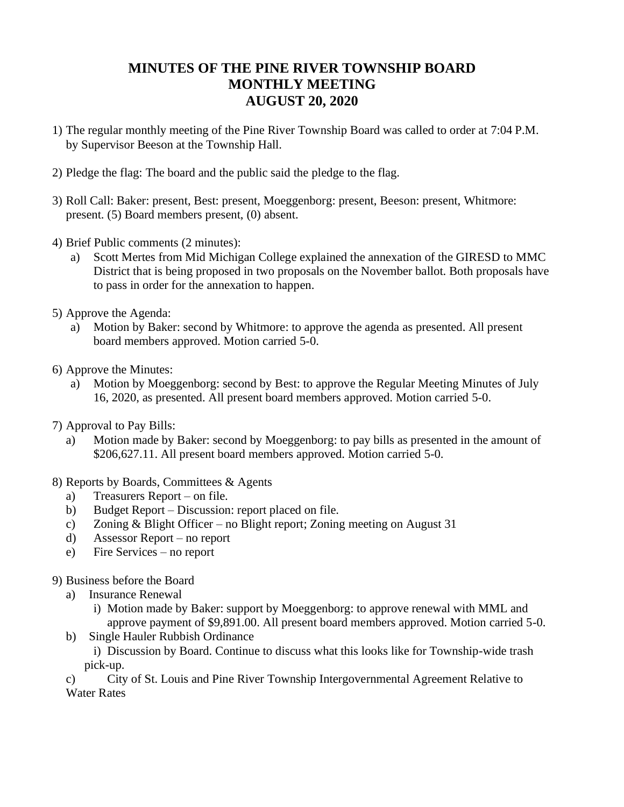## **MINUTES OF THE PINE RIVER TOWNSHIP BOARD MONTHLY MEETING AUGUST 20, 2020**

- 1) The regular monthly meeting of the Pine River Township Board was called to order at 7:04 P.M. by Supervisor Beeson at the Township Hall.
- 2) Pledge the flag: The board and the public said the pledge to the flag.
- 3) Roll Call: Baker: present, Best: present, Moeggenborg: present, Beeson: present, Whitmore: present. (5) Board members present, (0) absent.
- 4) Brief Public comments (2 minutes):
	- a) Scott Mertes from Mid Michigan College explained the annexation of the GIRESD to MMC District that is being proposed in two proposals on the November ballot. Both proposals have to pass in order for the annexation to happen.
- 5) Approve the Agenda:
	- a) Motion by Baker: second by Whitmore: to approve the agenda as presented. All present board members approved. Motion carried 5-0.
- 6) Approve the Minutes:
	- a) Motion by Moeggenborg: second by Best: to approve the Regular Meeting Minutes of July 16, 2020, as presented. All present board members approved. Motion carried 5-0.
- 7) Approval to Pay Bills:
	- a) Motion made by Baker: second by Moeggenborg: to pay bills as presented in the amount of \$206,627.11. All present board members approved. Motion carried 5-0.
- 8) Reports by Boards, Committees & Agents
	- a) Treasurers Report on file.
	- b) Budget Report Discussion: report placed on file.
	- c) Zoning & Blight Officer no Blight report; Zoning meeting on August 31
	- d) Assessor Report no report
	- e) Fire Services no report
- 9) Business before the Board
	- a) Insurance Renewal
		- i) Motion made by Baker: support by Moeggenborg: to approve renewal with MML and approve payment of \$9,891.00. All present board members approved. Motion carried 5-0.
	- b) Single Hauler Rubbish Ordinance

i) Discussion by Board. Continue to discuss what this looks like for Township-wide trash pick-up.

c) City of St. Louis and Pine River Township Intergovernmental Agreement Relative to Water Rates